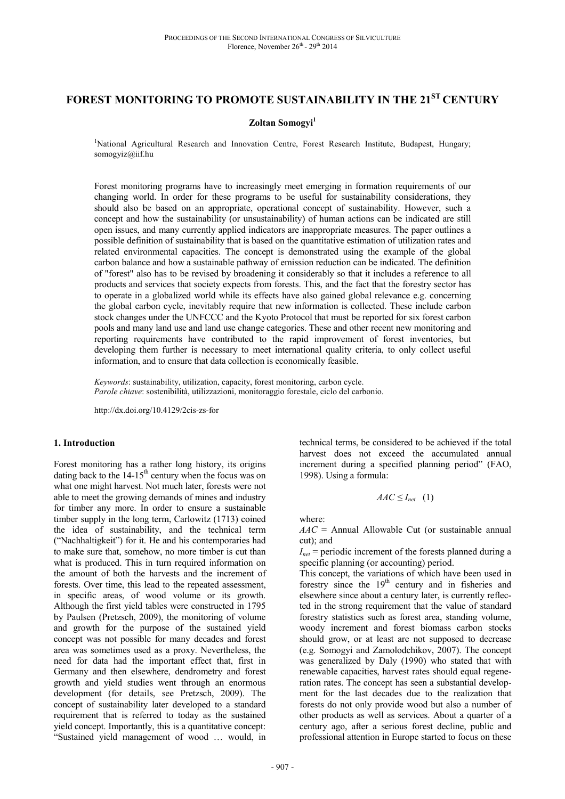# **FOREST MONITORING TO PROMOTE SUSTAINABILITY IN THE 21ST CENTURY**

### **Zoltan Somogyi<sup>1</sup>**

<sup>1</sup>National Agricultural Research and Innovation Centre, Forest Research Institute, Budapest, Hungary; somogyiz@iif.hu

Forest monitoring programs have to increasingly meet emerging in formation requirements of our changing world. In order for these programs to be useful for sustainability considerations, they should also be based on an appropriate, operational concept of sustainability. However, such a concept and how the sustainability (or unsustainability) of human actions can be indicated are still open issues, and many currently applied indicators are inappropriate measures. The paper outlines a possible definition of sustainability that is based on the quantitative estimation of utilization rates and related environmental capacities. The concept is demonstrated using the example of the global carbon balance and how a sustainable pathway of emission reduction can be indicated. The definition of "forest" also has to be revised by broadening it considerably so that it includes a reference to all products and services that society expects from forests. This, and the fact that the forestry sector has to operate in a globalized world while its effects have also gained global relevance e.g. concerning the global carbon cycle, inevitably require that new information is collected. These include carbon stock changes under the UNFCCC and the Kyoto Protocol that must be reported for six forest carbon pools and many land use and land use change categories. These and other recent new monitoring and reporting requirements have contributed to the rapid improvement of forest inventories, but developing them further is necessary to meet international quality criteria, to only collect useful information, and to ensure that data collection is economically feasible.

*Keywords*: sustainability, utilization, capacity, forest monitoring, carbon cycle. *Parole chiave*: sostenibilità, utilizzazioni, monitoraggio forestale, ciclo del carbonio.

http://dx.doi.org/10.4129/2cis-zs-for

#### **1. Introduction**

Forest monitoring has a rather long history, its origins dating back to the  $14-15^{th}$  century when the focus was on what one might harvest. Not much later, forests were not able to meet the growing demands of mines and industry for timber any more. In order to ensure a sustainable timber supply in the long term, Carlowitz (1713) coined the idea of sustainability, and the technical term ("Nachhaltigkeit") for it. He and his contemporaries had to make sure that, somehow, no more timber is cut than what is produced. This in turn required information on the amount of both the harvests and the increment of forests. Over time, this lead to the repeated assessment, in specific areas, of wood volume or its growth. Although the first yield tables were constructed in 1795 by Paulsen (Pretzsch, 2009), the monitoring of volume and growth for the purpose of the sustained yield concept was not possible for many decades and forest area was sometimes used as a proxy. Nevertheless, the need for data had the important effect that, first in Germany and then elsewhere, dendrometry and forest growth and yield studies went through an enormous development (for details, see Pretzsch, 2009). The concept of sustainability later developed to a standard requirement that is referred to today as the sustained yield concept. Importantly, this is a quantitative concept: "Sustained yield management of wood … would, in

technical terms, be considered to be achieved if the total harvest does not exceed the accumulated annual increment during a specified planning period" (FAO, 1998). Using a formula:

$$
AAC \leq I_{net} \quad (1)
$$

where:

*AAC* = Annual Allowable Cut (or sustainable annual cut); and

 $I_{net}$  = periodic increment of the forests planned during a specific planning (or accounting) period.

This concept, the variations of which have been used in forestry since the  $19<sup>th</sup>$  century and in fisheries and elsewhere since about a century later, is currently reflected in the strong requirement that the value of standard forestry statistics such as forest area, standing volume, woody increment and forest biomass carbon stocks should grow, or at least are not supposed to decrease (e.g. Somogyi and Zamolodchikov, 2007). The concept was generalized by Daly (1990) who stated that with renewable capacities, harvest rates should equal regeneration rates. The concept has seen a substantial development for the last decades due to the realization that forests do not only provide wood but also a number of other products as well as services. About a quarter of a century ago, after a serious forest decline, public and professional attention in Europe started to focus on these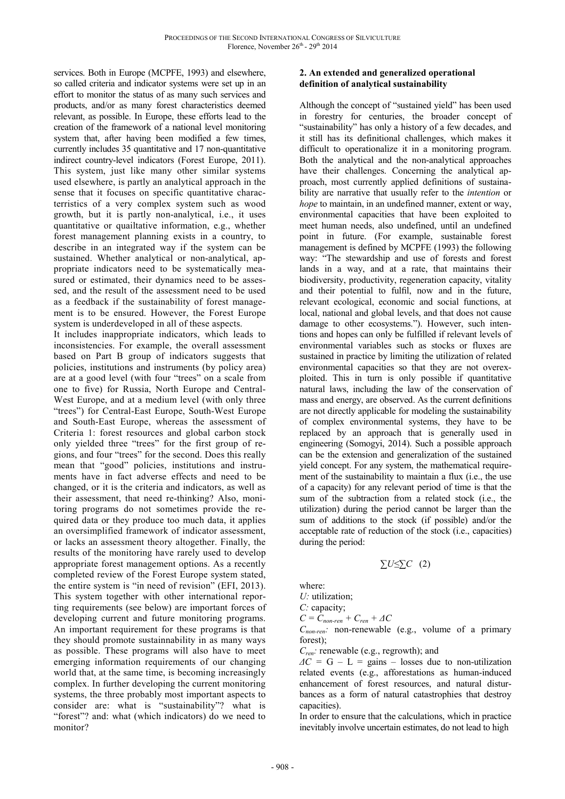services. Both in Europe (MCPFE, 1993) and elsewhere, so called criteria and indicator systems were set up in an effort to monitor the status of as many such services and products, and/or as many forest characteristics deemed relevant, as possible. In Europe, these efforts lead to the creation of the framework of a national level monitoring system that, after having been modified a few times, currently includes 35 quantitative and 17 non-quantitative indirect country-level indicators (Forest Europe, 2011). This system, just like many other similar systems used elsewhere, is partly an analytical approach in the sense that it focuses on specific quantitative characterristics of a very complex system such as wood growth, but it is partly non-analytical, i.e., it uses quantitative or quailtative information, e.g., whether forest management planning exists in a country, to describe in an integrated way if the system can be sustained. Whether analytical or non-analytical, appropriate indicators need to be systematically measured or estimated, their dynamics need to be assessed, and the result of the assessment need to be used as a feedback if the sustainability of forest management is to be ensured. However, the Forest Europe system is underdeveloped in all of these aspects.

It includes inappropriate indicators, which leads to inconsistencies. For example, the overall assessment based on Part B group of indicators suggests that policies, institutions and instruments (by policy area) are at a good level (with four "trees" on a scale from one to five) for Russia, North Europe and Central-West Europe, and at a medium level (with only three "trees") for Central-East Europe, South-West Europe and South-East Europe, whereas the assessment of Criteria 1: forest resources and global carbon stock only yielded three "trees" for the first group of regions, and four "trees" for the second. Does this really mean that "good" policies, institutions and instruments have in fact adverse effects and need to be changed, or it is the criteria and indicators, as well as their assessment, that need re-thinking? Also, monitoring programs do not sometimes provide the required data or they produce too much data, it applies an oversimplified framework of indicator assessment, or lacks an assessment theory altogether. Finally, the results of the monitoring have rarely used to develop appropriate forest management options. As a recently completed review of the Forest Europe system stated, the entire system is "in need of revision" (EFI, 2013). This system together with other international reporting requirements (see below) are important forces of developing current and future monitoring programs. An important requirement for these programs is that they should promote sustainnability in as many ways as possible. These programs will also have to meet emerging information requirements of our changing world that, at the same time, is becoming increasingly complex. In further developing the current monitoring systems, the three probably most important aspects to consider are: what is "sustainability"? what is "forest"? and: what (which indicators) do we need to monitor?

### **2. An extended and generalized operational definition of analytical sustainability**

Although the concept of "sustained yield" has been used in forestry for centuries, the broader concept of "sustainability" has only a history of a few decades, and it still has its definitional challenges, which makes it difficult to operationalize it in a monitoring program. Both the analytical and the non-analytical approaches have their challenges. Concerning the analytical approach, most currently applied definitions of sustainability are narrative that usually refer to the *intention* or *hope* to maintain, in an undefined manner, extent or way, environmental capacities that have been exploited to meet human needs, also undefined, until an undefined point in future. (For example, sustainable forest management is defined by MCPFE (1993) the following way: "The stewardship and use of forests and forest lands in a way, and at a rate, that maintains their biodiversity, productivity, regeneration capacity, vitality and their potential to fulfil, now and in the future, relevant ecological, economic and social functions, at local, national and global levels, and that does not cause damage to other ecosystems."). However, such intentions and hopes can only be fulfilled if relevant levels of environmental variables such as stocks or fluxes are sustained in practice by limiting the utilization of related environmental capacities so that they are not overexploited. This in turn is only possible if quantitative natural laws, including the law of the conservation of mass and energy, are observed. As the current definitions are not directly applicable for modeling the sustainability of complex environmental systems, they have to be replaced by an approach that is generally used in engineering (Somogyi, 2014). Such a possible approach can be the extension and generalization of the sustained yield concept. For any system, the mathematical requirement of the sustainability to maintain a flux (i.e., the use of a capacity) for any relevant period of time is that the sum of the subtraction from a related stock (i.e., the utilization) during the period cannot be larger than the sum of additions to the stock (if possible) and/or the acceptable rate of reduction of the stock (i.e., capacities) during the period:

$$
\sum U \leq \sum C \quad (2)
$$

where:

*U:* utilization;

*C:* capacity;

 $C = C_{non-ren} + C_{ren} + \Delta C$ 

*Cnon-ren:* non-renewable (e.g., volume of a primary forest);

*Cren:* renewable (e.g., regrowth); and

 $\Delta C = G - L =$  gains – losses due to non-utilization related events (e.g., afforestations as human-induced enhancement of forest resources, and natural disturbances as a form of natural catastrophies that destroy capacities).

In order to ensure that the calculations, which in practice inevitably involve uncertain estimates, do not lead to high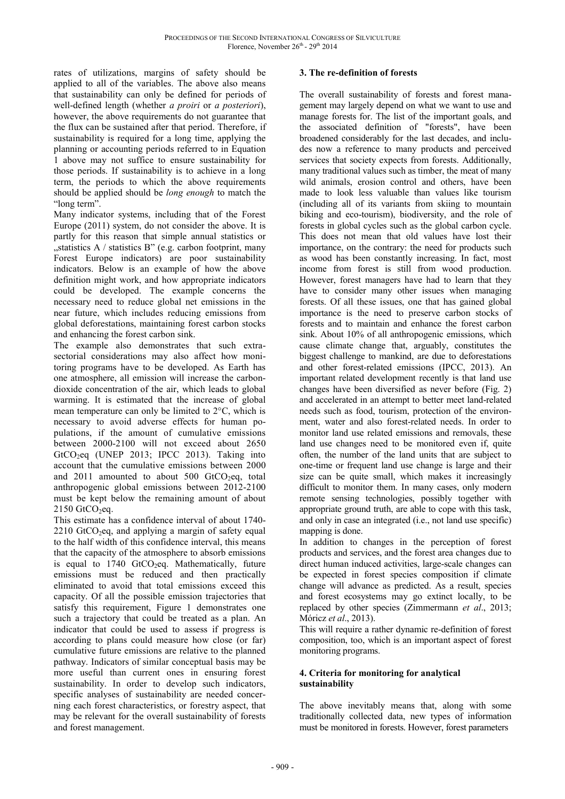rates of utilizations, margins of safety should be applied to all of the variables. The above also means that sustainability can only be defined for periods of well-defined length (whether *a proiri* or *a posteriori*), however, the above requirements do not guarantee that the flux can be sustained after that period. Therefore, if sustainability is required for a long time, applying the planning or accounting periods referred to in Equation 1 above may not suffice to ensure sustainability for those periods. If sustainability is to achieve in a long term, the periods to which the above requirements should be applied should be *long enough* to match the "long term".

Many indicator systems, including that of the Forest Europe (2011) system, do not consider the above. It is partly for this reason that simple annual statistics or  $\mu$ statistics A / statistics B" (e.g. carbon footprint, many Forest Europe indicators) are poor sustainability indicators. Below is an example of how the above definition might work, and how appropriate indicators could be developed. The example concerns the necessary need to reduce global net emissions in the near future, which includes reducing emissions from global deforestations, maintaining forest carbon stocks and enhancing the forest carbon sink.

The example also demonstrates that such extrasectorial considerations may also affect how monitoring programs have to be developed. As Earth has one atmosphere, all emission will increase the carbondioxide concentration of the air, which leads to global warming. It is estimated that the increase of global mean temperature can only be limited to 2°C, which is necessary to avoid adverse effects for human populations, if the amount of cumulative emissions between 2000-2100 will not exceed about 2650 GtCO<sub>2</sub>eq (UNEP 2013; IPCC 2013). Taking into account that the cumulative emissions between 2000 and  $2011$  amounted to about  $500$  GtCO<sub>2</sub>eq, total anthropogenic global emissions between 2012-2100 must be kept below the remaining amount of about  $2150$  GtCO<sub>2</sub>eq.

This estimate has a confidence interval of about 1740-  $2210$  GtCO<sub>2</sub>eq, and applying a margin of safety equal to the half width of this confidence interval, this means that the capacity of the atmosphere to absorb emissions is equal to  $1740 \text{ GtCO}_2$ eq. Mathematically, future emissions must be reduced and then practically eliminated to avoid that total emissions exceed this capacity. Of all the possible emission trajectories that satisfy this requirement, Figure 1 demonstrates one such a trajectory that could be treated as a plan. An indicator that could be used to assess if progress is according to plans could measure how close (or far) cumulative future emissions are relative to the planned pathway. Indicators of similar conceptual basis may be more useful than current ones in ensuring forest sustainability. In order to develop such indicators, specific analyses of sustainability are needed concerning each forest characteristics, or forestry aspect, that may be relevant for the overall sustainability of forests and forest management.

## **3. The re-definition of forests**

The overall sustainability of forests and forest management may largely depend on what we want to use and manage forests for. The list of the important goals, and the associated definition of "forests", have been broadened considerably for the last decades, and includes now a reference to many products and perceived services that society expects from forests. Additionally, many traditional values such as timber, the meat of many wild animals, erosion control and others, have been made to look less valuable than values like tourism (including all of its variants from skiing to mountain biking and eco-tourism), biodiversity, and the role of forests in global cycles such as the global carbon cycle. This does not mean that old values have lost their importance, on the contrary: the need for products such as wood has been constantly increasing. In fact, most income from forest is still from wood production. However, forest managers have had to learn that they have to consider many other issues when managing forests. Of all these issues, one that has gained global importance is the need to preserve carbon stocks of forests and to maintain and enhance the forest carbon sink. About 10% of all anthropogenic emissions, which cause climate change that, arguably, constitutes the biggest challenge to mankind, are due to deforestations and other forest-related emissions (IPCC, 2013). An important related development recently is that land use changes have been diversified as never before (Fig. 2) and accelerated in an attempt to better meet land-related needs such as food, tourism, protection of the environment, water and also forest-related needs. In order to monitor land use related emissions and removals, these land use changes need to be monitored even if, quite often, the number of the land units that are subject to one-time or frequent land use change is large and their size can be quite small, which makes it increasingly difficult to monitor them. In many cases, only modern remote sensing technologies, possibly together with appropriate ground truth, are able to cope with this task, and only in case an integrated (i.e., not land use specific) mapping is done.

In addition to changes in the perception of forest products and services, and the forest area changes due to direct human induced activities, large-scale changes can be expected in forest species composition if climate change will advance as predicted. As a result, species and forest ecosystems may go extinct locally, to be replaced by other species (Zimmermann *et al*., 2013; Móricz *et al*., 2013).

This will require a rather dynamic re-definition of forest composition, too, which is an important aspect of forest monitoring programs.

# **4. Criteria for monitoring for analytical sustainability**

The above inevitably means that, along with some traditionally collected data, new types of information must be monitored in forests. However, forest parameters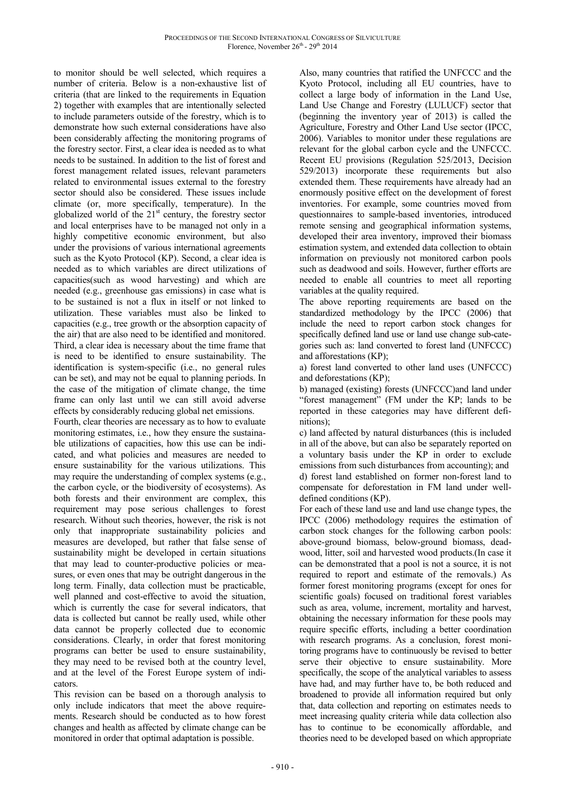to monitor should be well selected, which requires a number of criteria. Below is a non-exhaustive list of criteria (that are linked to the requirements in Equation 2) together with examples that are intentionally selected to include parameters outside of the forestry, which is to demonstrate how such external considerations have also been considerably affecting the monitoring programs of the forestry sector. First, a clear idea is needed as to what needs to be sustained. In addition to the list of forest and forest management related issues, relevant parameters related to environmental issues external to the forestry sector should also be considered. These issues include climate (or, more specifically, temperature). In the globalized world of the  $21<sup>st</sup>$  century, the forestry sector and local enterprises have to be managed not only in a highly competitive economic environment, but also under the provisions of various international agreements such as the Kyoto Protocol (KP). Second, a clear idea is needed as to which variables are direct utilizations of capacities(such as wood harvesting) and which are needed (e.g., greenhouse gas emissions) in case what is to be sustained is not a flux in itself or not linked to utilization. These variables must also be linked to capacities (e.g., tree growth or the absorption capacity of the air) that are also need to be identified and monitored. Third, a clear idea is necessary about the time frame that is need to be identified to ensure sustainability. The identification is system-specific (i.e., no general rules can be set), and may not be equal to planning periods. In the case of the mitigation of climate change, the time frame can only last until we can still avoid adverse effects by considerably reducing global net emissions.

Fourth, clear theories are necessary as to how to evaluate monitoring estimates, i.e., how they ensure the sustainable utilizations of capacities, how this use can be indicated, and what policies and measures are needed to ensure sustainability for the various utilizations. This may require the understanding of complex systems (e.g., the carbon cycle, or the biodiversity of ecosystems). As both forests and their environment are complex, this requirement may pose serious challenges to forest research. Without such theories, however, the risk is not only that inappropriate sustainability policies and measures are developed, but rather that false sense of sustainability might be developed in certain situations that may lead to counter-productive policies or measures, or even ones that may be outright dangerous in the long term. Finally, data collection must be practicable, well planned and cost-effective to avoid the situation, which is currently the case for several indicators, that data is collected but cannot be really used, while other data cannot be properly collected due to economic considerations. Clearly, in order that forest monitoring programs can better be used to ensure sustainability, they may need to be revised both at the country level, and at the level of the Forest Europe system of indicators.

This revision can be based on a thorough analysis to only include indicators that meet the above requirements. Research should be conducted as to how forest changes and health as affected by climate change can be monitored in order that optimal adaptation is possible.

Also, many countries that ratified the UNFCCC and the Kyoto Protocol, including all EU countries, have to collect a large body of information in the Land Use, Land Use Change and Forestry (LULUCF) sector that (beginning the inventory year of 2013) is called the Agriculture, Forestry and Other Land Use sector (IPCC, 2006). Variables to monitor under these regulations are relevant for the global carbon cycle and the UNFCCC. Recent EU provisions (Regulation 525/2013, Decision 529/2013) incorporate these requirements but also extended them. These requirements have already had an enormously positive effect on the development of forest inventories. For example, some countries moved from questionnaires to sample-based inventories, introduced remote sensing and geographical information systems, developed their area inventory, improved their biomass estimation system, and extended data collection to obtain information on previously not monitored carbon pools such as deadwood and soils. However, further efforts are needed to enable all countries to meet all reporting variables at the quality required.

The above reporting requirements are based on the standardized methodology by the IPCC (2006) that include the need to report carbon stock changes for specifically defined land use or land use change sub-categories such as: land converted to forest land (UNFCCC) and afforestations (KP);

a) forest land converted to other land uses (UNFCCC) and deforestations (KP);

b) managed (existing) forests (UNFCCC)and land under "forest management" (FM under the KP; lands to be reported in these categories may have different definitions);

c) land affected by natural disturbances (this is included in all of the above, but can also be separately reported on a voluntary basis under the KP in order to exclude emissions from such disturbances from accounting); and d) forest land established on former non-forest land to compensate for deforestation in FM land under welldefined conditions (KP).

For each of these land use and land use change types, the IPCC (2006) methodology requires the estimation of carbon stock changes for the following carbon pools: above-ground biomass, below-ground biomass, deadwood, litter, soil and harvested wood products.(In case it can be demonstrated that a pool is not a source, it is not required to report and estimate of the removals.) As former forest monitoring programs (except for ones for scientific goals) focused on traditional forest variables such as area, volume, increment, mortality and harvest, obtaining the necessary information for these pools may require specific efforts, including a better coordination with research programs. As a conclusion, forest monitoring programs have to continuously be revised to better serve their objective to ensure sustainability. More specifically, the scope of the analytical variables to assess have had, and may further have to, be both reduced and broadened to provide all information required but only that, data collection and reporting on estimates needs to meet increasing quality criteria while data collection also has to continue to be economically affordable, and theories need to be developed based on which appropriate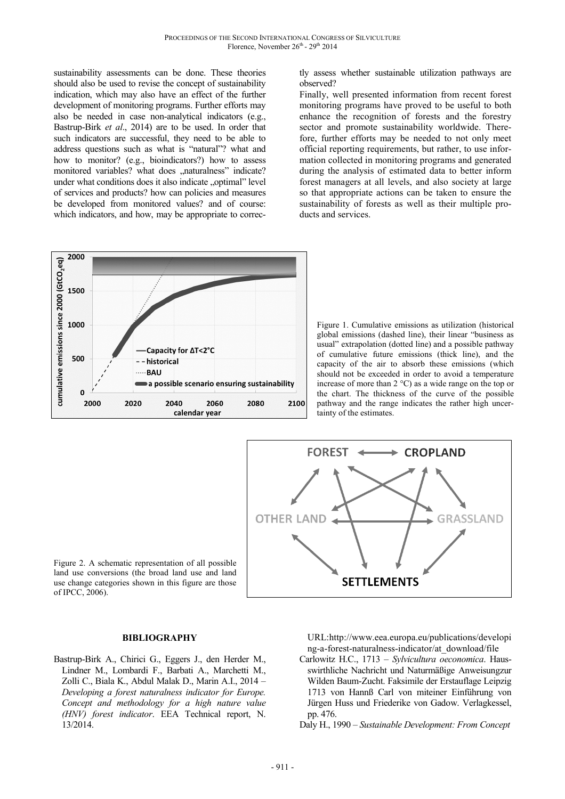sustainability assessments can be done. These theories should also be used to revise the concept of sustainability indication, which may also have an effect of the further development of monitoring programs. Further efforts may also be needed in case non-analytical indicators (e.g., Bastrup-Birk *et al*., 2014) are to be used. In order that such indicators are successful, they need to be able to address questions such as what is "natural"? what and how to monitor? (e.g., bioindicators?) how to assess monitored variables? what does "naturalness" indicate? under what conditions does it also indicate "optimal" level of services and products? how can policies and measures be developed from monitored values? and of course: which indicators, and how, may be appropriate to correctly assess whether sustainable utilization pathways are observed?

Finally, well presented information from recent forest monitoring programs have proved to be useful to both enhance the recognition of forests and the forestry sector and promote sustainability worldwide. Therefore, further efforts may be needed to not only meet official reporting requirements, but rather, to use information collected in monitoring programs and generated during the analysis of estimated data to better inform forest managers at all levels, and also society at large so that appropriate actions can be taken to ensure the sustainability of forests as well as their multiple products and services.



Figure 1. Cumulative emissions as utilization (historical global emissions (dashed line), their linear "business as usual" extrapolation (dotted line) and a possible pathway of cumulative future emissions (thick line), and the capacity of the air to absorb these emissions (which should not be exceeded in order to avoid a temperature increase of more than 2 °C) as a wide range on the top or the chart. The thickness of the curve of the possible pathway and the range indicates the rather high uncertainty of the estimates.



Figure 2. A schematic representation of all possible land use conversions (the broad land use and land use change categories shown in this figure are those of IPCC, 2006).

#### **BIBLIOGRAPHY**

Bastrup-Birk A., Chirici G., Eggers J., den Herder M., Lindner M., Lombardi F., Barbati A., Marchetti M., Zolli C., Biala K., Abdul Malak D., Marin A.I., 2014 – *Developing a forest naturalness indicator for Europe. Concept and methodology for a high nature value (HNV) forest indicator*. EEA Technical report, N. 13/2014.

URL:http://www.eea.europa.eu/publications/developi ng-a-forest-naturalness-indicator/at\_download/file

- Carlowitz H.C., 1713 *Sylvicultura oeconomica*. Hausswirthliche Nachricht und Naturmäßige Anweisungzur Wilden Baum-Zucht. Faksimile der Erstauflage Leipzig 1713 von Hannß Carl von miteiner Einführung von Jürgen Huss und Friederike von Gadow. Verlagkessel, pp. 476.
- Daly H., 1990 *Sustainable Development: From Concept*